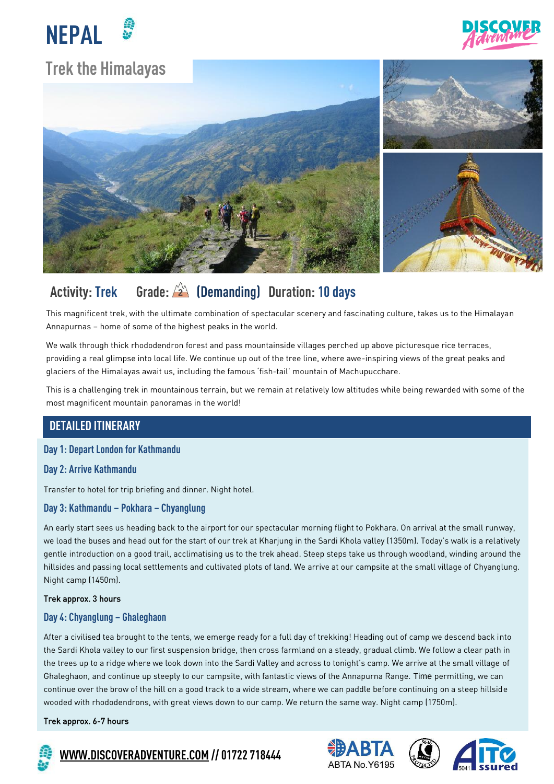



# **Trek the Himalayas**



# **Activity: Trek Grade: (Demanding) Duration: 10 days**

This magnificent trek, with the ultimate combination of spectacular scenery and fascinating culture, takes us to the Himalayan Annapurnas – home of some of the highest peaks in the world.

We walk through thick rhododendron forest and pass mountainside villages perched up above picturesque rice terraces, providing a real glimpse into local life. We continue up out of the tree line, where awe-inspiring views of the great peaks and glaciers of the Himalayas await us, including the famous 'fish-tail' mountain of Machupucchare.

This is a challenging trek in mountainous terrain, but we remain at relatively low altitudes while being rewarded with some of the most magnificent mountain panoramas in the world!

## **DETAILED ITINERARY**

#### **Day 1: Depart London for Kathmandu**

#### **Day 2: Arrive Kathmandu**

Transfer to hotel for trip briefing and dinner. Night hotel.

#### **Day 3: Kathmandu – Pokhara – Chyanglung**

An early start sees us heading back to the airport for our spectacular morning flight to Pokhara. On arrival at the small runway, we load the buses and head out for the start of our trek at Kharjung in the Sardi Khola valley (1350m). Today's walk is a relatively gentle introduction on a good trail, acclimatising us to the trek ahead. Steep steps take us through woodland, winding around the hillsides and passing local settlements and cultivated plots of land. We arrive at our campsite at the small village of Chyanglung. Night camp (1450m).

#### Trek approx. 3 hours

### **Day 4: Chyanglung – Ghaleghaon**

After a civilised tea brought to the tents, we emerge ready for a full day of trekking! Heading out of camp we descend back into the Sardi Khola valley to our first suspension bridge, then cross farmland on a steady, gradual climb. We follow a clear path in the trees up to a ridge where we look down into the Sardi Valley and across to tonight's camp. We arrive at the small village of Ghaleghaon, and continue up steeply to our campsite, with fantastic views of the Annapurna Range. Time permitting, we can continue over the brow of the hill on a good track to a wide stream, where we can paddle before continuing on a steep hillside wooded with rhododendrons, with great views down to our camp. We return the same way. Night camp (1750m).

#### Trek approx. 6-7 hours



**[WWW.DISCOVERADVENTURE.COM](http://www.discoveradventure.com/) // 01722 718444**





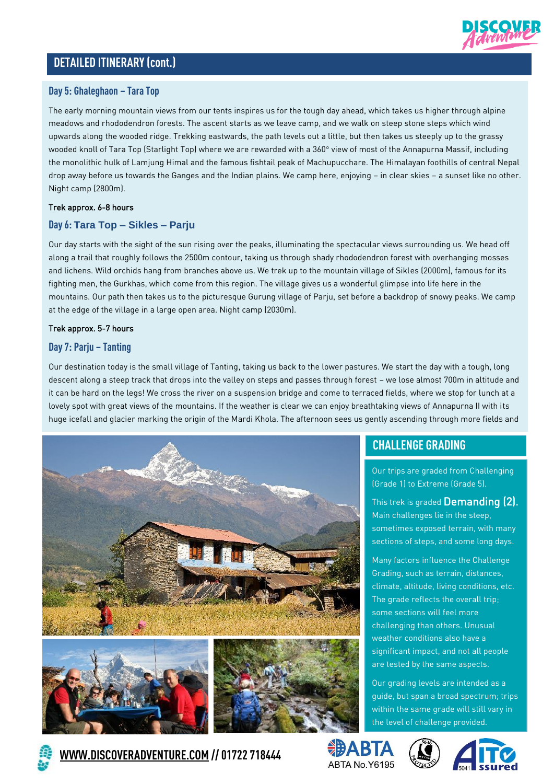

### **DETAILED ITINERARY(cont.)**

#### **Day 5: Ghaleghaon – Tara Top Bikes**

The early morning mountain views from our tents inspires us for the tough day ahead, which takes us higher through alpine meadows and rhododendron forests. The ascent starts as we leave camp, and we walk on steep stone steps which wind upwards along the wooded ridge. Trekking eastwards, the path levels out a little, but then takes us steeply up to the grassy wooded knoll of Tara Top (Starlight Top) where we are rewarded with a 360° view of most of the Annapurna Massif, including the monolithic hulk of Lamjung Himal and the famous fishtail peak of Machupucchare. The Himalayan foothills of central Nepal **Bike Repairs** drop away before us towards the Ganges and the Indian plains. We camp here, enjoying – in clear skies – a sunset like no other. Night camp (2800m). Eventuality so it is vital that you bike it is vital that you

#### Trek approx. 6-8 hours

#### **Day 6: Tara Top – Sikles – Parju**

Our day starts with the sight of the sun rising over the peaks, illuminating the spectacular views surrounding us. We head off along a trail that roughly follows the 2500m contour, taking us through shady rhododendron forest with overhanging mosses and lichens. Wild orchids hang from branches above us. We trek up to the mountain village of Sikles (2000m), famous for its fighting men, the Gurkhas, which come from this region. The village gives us a wonderful glimpse into life here in the mountains. Our path then takes us to the picturesque Gurung village of Parju, set before a backdrop of snowy peaks. We camp at the edge of the village in a large open area. Night camp (2030m).

#### Trek approx. 5-7 hours

#### **Day 7: Parju – Tanting**

Our destination today is the small village of Tanting, taking us back to the lower pastures. We start the day with a tough, long descent along a steep track that drops into the valley on steps and passes through forest – we lose almost 700m in altitude and it can be hard on the legs! We cross the river on a suspension bridge and come to terraced fields, where we stop for lunch at a lovely spot with great views of the mountains. If the weather is clear we can enjoy breathtaking views of Annapurna II with its huge icefall and glacier marking the origin of the Mardi Khola. The afternoon sees us gently ascending through more fields and



## **CHALLENGE GRADING**

Our trips are graded from Challenging (Grade 1) to Extreme (Grade 5).

This trek is graded Demanding (2). Main challenges lie in the steep, sometimes exposed terrain, with many sections of steps, and some long days.

Many factors influence the Challenge Grading, such as terrain, distances, climate, altitude, living conditions, etc. The grade reflects the overall trip; some sections will feel more challenging than others. Unusual weather conditions also have a significant impact, and not all people are tested by the same aspects.

Our grading levels are intended as a guide, but span a broad spectrum; trips within the same grade will still vary in the level of challenge provided.









**[WWW.DISCOVERADVENTURE.COM](http://www.discoveradventure.com/) // 01722 718444**